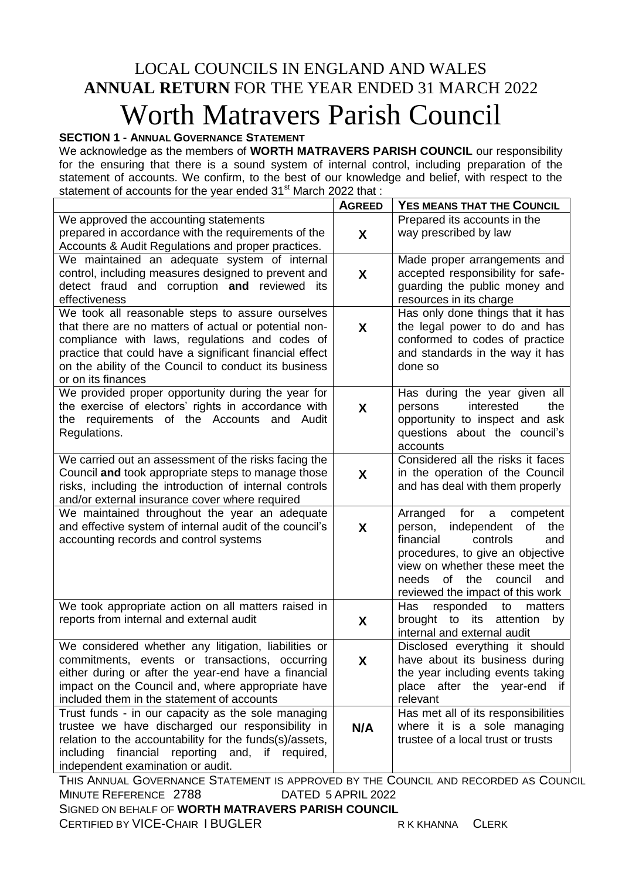# LOCAL COUNCILS IN ENGLAND AND WALES **ANNUAL RETURN** FOR THE YEAR ENDED 31 MARCH 2022 Worth Matravers Parish Council

# **SECTION 1 - ANNUAL GOVERNANCE STATEMENT**

We acknowledge as the members of **WORTH MATRAVERS PARISH COUNCIL** our responsibility for the ensuring that there is a sound system of internal control, including preparation of the statement of accounts. We confirm, to the best of our knowledge and belief, with respect to the statement of accounts for the year ended 31<sup>st</sup> March 2022 that :

|                                                                                                  | <b>AGREED</b> | YES MEANS THAT THE COUNCIL                                         |
|--------------------------------------------------------------------------------------------------|---------------|--------------------------------------------------------------------|
| We approved the accounting statements                                                            |               | Prepared its accounts in the                                       |
| prepared in accordance with the requirements of the                                              | X             | way prescribed by law                                              |
| Accounts & Audit Regulations and proper practices.                                               |               |                                                                    |
| We maintained an adequate system of internal                                                     |               | Made proper arrangements and                                       |
| control, including measures designed to prevent and                                              | X             | accepted responsibility for safe-                                  |
| detect fraud and corruption and reviewed<br>its                                                  |               | guarding the public money and                                      |
| effectiveness                                                                                    |               | resources in its charge                                            |
| We took all reasonable steps to assure ourselves                                                 |               | Has only done things that it has                                   |
| that there are no matters of actual or potential non-                                            | X             | the legal power to do and has                                      |
| compliance with laws, regulations and codes of                                                   |               | conformed to codes of practice                                     |
| practice that could have a significant financial effect                                          |               | and standards in the way it has                                    |
| on the ability of the Council to conduct its business                                            |               | done so                                                            |
| or on its finances                                                                               |               |                                                                    |
| We provided proper opportunity during the year for                                               |               | Has during the year given all                                      |
| the exercise of electors' rights in accordance with                                              | X             | interested<br>persons<br>the                                       |
| the requirements of the Accounts and Audit                                                       |               | opportunity to inspect and ask                                     |
| Regulations.                                                                                     |               | questions about the council's                                      |
|                                                                                                  |               | accounts                                                           |
| We carried out an assessment of the risks facing the                                             |               | Considered all the risks it faces                                  |
| Council and took appropriate steps to manage those                                               | X             | in the operation of the Council                                    |
| risks, including the introduction of internal controls                                           |               | and has deal with them properly                                    |
| and/or external insurance cover where required                                                   |               |                                                                    |
| We maintained throughout the year an adequate                                                    |               | for<br>Arranged<br>$\mathsf{a}$<br>competent                       |
| and effective system of internal audit of the council's                                          | X             | independent<br>of<br>the<br>person,                                |
| accounting records and control systems                                                           |               | financial<br>controls<br>and                                       |
|                                                                                                  |               | procedures, to give an objective                                   |
|                                                                                                  |               | view on whether these meet the                                     |
|                                                                                                  |               | of the council<br>needs<br>and                                     |
|                                                                                                  |               | reviewed the impact of this work                                   |
| We took appropriate action on all matters raised in                                              |               | Has<br>responded<br>to<br>matters                                  |
| reports from internal and external audit                                                         | X             | brought to its<br>attention<br>by                                  |
|                                                                                                  |               | internal and external audit                                        |
| We considered whether any litigation, liabilities or                                             |               | Disclosed everything it should                                     |
| commitments, events or transactions, occurring                                                   | X             | have about its business during                                     |
| either during or after the year-end have a financial                                             |               | the year including events taking                                   |
| impact on the Council and, where appropriate have                                                |               | place after the year-end<br>if                                     |
| included them in the statement of accounts<br>Trust funds - in our capacity as the sole managing |               | relevant                                                           |
| trustee we have discharged our responsibility in                                                 |               | Has met all of its responsibilities<br>where it is a sole managing |
| relation to the accountability for the funds(s)/assets,                                          | N/A           | trustee of a local trust or trusts                                 |
| financial reporting and, if required,<br>including                                               |               |                                                                    |
| independent examination or audit.                                                                |               |                                                                    |
| THIS ANNULAL COVEDNANCE STATEMENT IS ADDROVED BY THE COUNCIL AND BECOPDED AS COUNC               |               |                                                                    |

THIS ANNUAL GOVERNANCE STATEMENT IS APPROVED BY THE COUNCIL AND RECORDED AS COUNCIL MINUTE REFERENCE 2788 DATED 5 APRIL 2022 SIGNED ON BEHALF OF **WORTH MATRAVERS PARISH COUNCIL**

CERTIFIED BY VICE-CHAIR I BUGLER R K KHANNA CLERK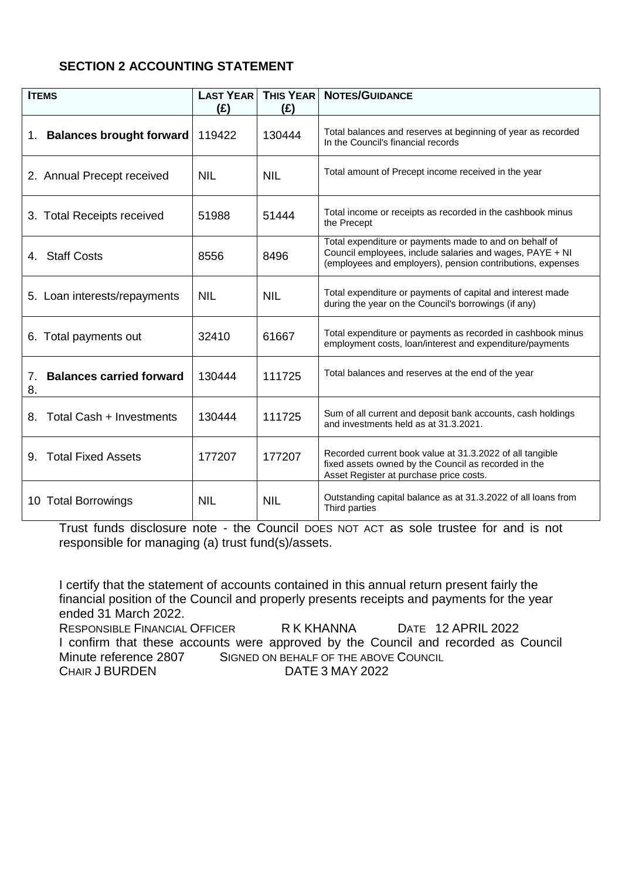# **SECTION 2 ACCOUNTING STATEMENT**

| <b>ITEMS</b>                                | <b>LAST YEAR</b><br>(E) | <b>THIS YEAR</b><br>(£) | <b>NOTES/GUIDANCE</b>                                                                                                                                                            |
|---------------------------------------------|-------------------------|-------------------------|----------------------------------------------------------------------------------------------------------------------------------------------------------------------------------|
| 1. Balances brought forward                 | 119422                  | 130444                  | Total balances and reserves at beginning of year as recorded<br>In the Council's financial records                                                                               |
| 2. Annual Precept received                  | <b>NIL</b>              | <b>NIL</b>              | Total amount of Precept income received in the year                                                                                                                              |
| 3. Total Receipts received                  | 51988                   | 51444                   | Total income or receipts as recorded in the cashbook minus<br>the Precept                                                                                                        |
| 4. Staff Costs                              | 8556                    | 8496                    | Total expenditure or payments made to and on behalf of<br>Council employees, include salaries and wages, PAYE + NI<br>(employees and employers), pension contributions, expenses |
| 5. Loan interests/repayments                | <b>NIL</b>              | <b>NIL</b>              | Total expenditure or payments of capital and interest made<br>during the year on the Council's borrowings (if any)                                                               |
| 6. Total payments out                       | 32410                   | 61667                   | Total expenditure or payments as recorded in cashbook minus<br>employment costs, loan/interest and expenditure/payments                                                          |
| <b>Balances carried forward</b><br>7.<br>8. | 130444                  | 111725                  | Total balances and reserves at the end of the year                                                                                                                               |
| Total Cash + Investments<br>8.              | 130444                  | 111725                  | Sum of all current and deposit bank accounts, cash holdings<br>and investments held as at 31.3.2021.                                                                             |
| <b>Total Fixed Assets</b><br>9.             | 177207                  | 177207                  | Recorded current book value at 31.3.2022 of all tangible<br>fixed assets owned by the Council as recorded in the<br>Asset Register at purchase price costs.                      |
| 10 Total Borrowings                         | <b>NIL</b>              | <b>NIL</b>              | Outstanding capital balance as at 31.3.2022 of all loans from<br>Third parties                                                                                                   |

Trust funds disclosure note - the Council DOES NOT ACT as sole trustee for and is not responsible for managing (a) trust fund(s)/assets.

I certify that the statement of accounts contained in this annual return present fairly the financial position of the Council and properly presents receipts and payments for the year ended 31 March 2022. RESPONSIBLE FINANCIAL OFFICER R K KHANNA DATE 12 APRIL 2022 I confirm that these accounts were approved by the Council and recorded as Council Minute reference 2807 SIGNED ON BEHALF OF THE ABOVE COUNCIL<br>CHAIR J BURDEN DATE 3 MAY 2022 DATE 3 MAY 2022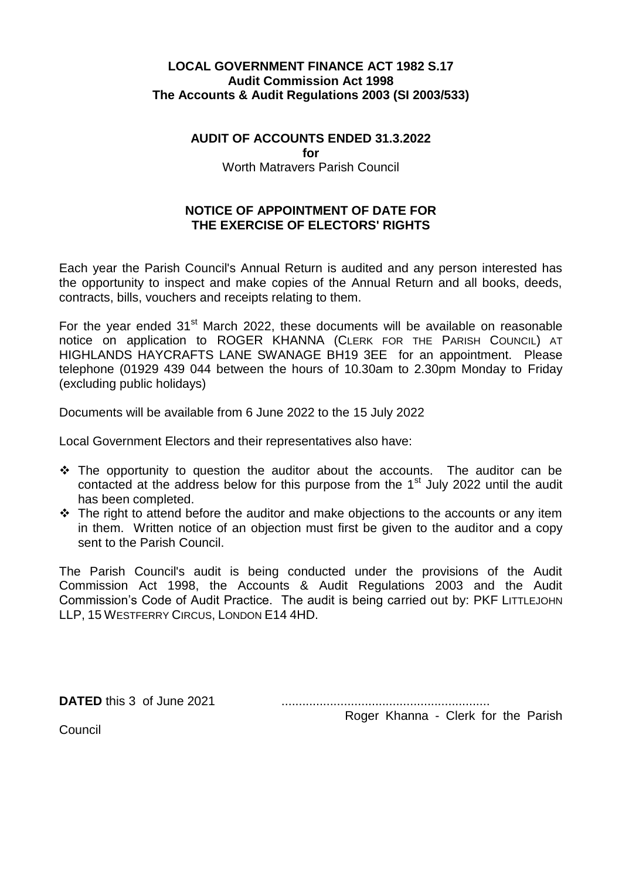## **LOCAL GOVERNMENT FINANCE ACT 1982 S.17 Audit Commission Act 1998 The Accounts & Audit Regulations 2003 (SI 2003/533)**

#### **AUDIT OF ACCOUNTS ENDED 31.3.2022**

**for** 

Worth Matravers Parish Council

# **NOTICE OF APPOINTMENT OF DATE FOR THE EXERCISE OF ELECTORS' RIGHTS**

Each year the Parish Council's Annual Return is audited and any person interested has the opportunity to inspect and make copies of the Annual Return and all books, deeds, contracts, bills, vouchers and receipts relating to them.

For the vear ended 31<sup>st</sup> March 2022, these documents will be available on reasonable notice on application to ROGER KHANNA (CLERK FOR THE PARISH COUNCIL) AT HIGHLANDS HAYCRAFTS LANE SWANAGE BH19 3EE for an appointment. Please telephone (01929 439 044 between the hours of 10.30am to 2.30pm Monday to Friday (excluding public holidays)

Documents will be available from 6 June 2022 to the 15 July 2022

Local Government Electors and their representatives also have:

- $\hat{P}$  The opportunity to question the auditor about the accounts. The auditor can be contacted at the address below for this purpose from the 1<sup>st</sup> July 2022 until the audit has been completed.
- $\div$  The right to attend before the auditor and make objections to the accounts or any item in them. Written notice of an objection must first be given to the auditor and a copy sent to the Parish Council.

The Parish Council's audit is being conducted under the provisions of the Audit Commission Act 1998, the Accounts & Audit Regulations 2003 and the Audit Commission's Code of Audit Practice. The audit is being carried out by: PKF LITTLEJOHN LLP, 15 WESTFERRY CIRCUS, LONDON E14 4HD.

**DATED** this 3 of June 2021 ............................................................

Roger Khanna - Clerk for the Parish

Council